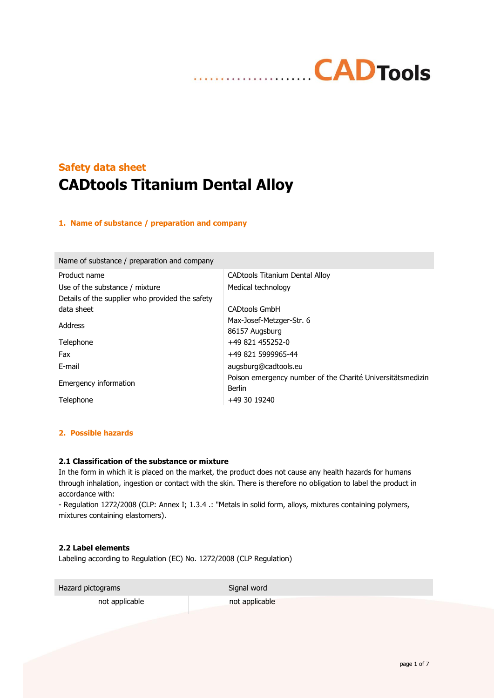# **Safety data sheet CADtools Titanium Dental Alloy**

### **1. Name of substance / preparation and company**

| Name of substance / preparation and company     |                                                            |
|-------------------------------------------------|------------------------------------------------------------|
| Product name                                    | <b>CADtools Titanium Dental Alloy</b>                      |
| Use of the substance / mixture                  | Medical technology                                         |
| Details of the supplier who provided the safety |                                                            |
| data sheet                                      | <b>CADtools GmbH</b>                                       |
| Address                                         | Max-Josef-Metzger-Str. 6                                   |
|                                                 | 86157 Augsburg                                             |
| Telephone                                       | +49 821 455252-0                                           |
| Fax                                             | +49 821 5999965-44                                         |
| E-mail                                          | augsburg@cadtools.eu                                       |
| Emergency information                           | Poison emergency number of the Charité Universitätsmedizin |
|                                                 | Berlin                                                     |
| Telephone                                       | +49 30 19240                                               |

### **2. Possible hazards**

## **2.1 Classification of the substance or mixture**

In the form in which it is placed on the market, the product does not cause any health hazards for humans through inhalation, ingestion or contact with the skin. There is therefore no obligation to label the product in accordance with:

- Regulation 1272/2008 (CLP: Annex I; 1.3.4 .: "Metals in solid form, alloys, mixtures containing polymers, mixtures containing elastomers).

#### **2.2 Label elements**

Labeling according to Regulation (EC) No. 1272/2008 (CLP Regulation)

Hazard pictograms Signal word

not applicable and the not applicable not applicable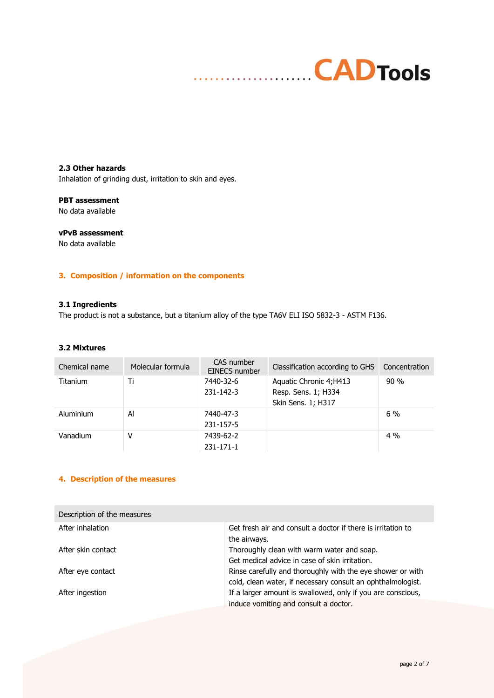# **CADTools** . . . . . . . . . . . .

**2.3 Other hazards** Inhalation of grinding dust, irritation to skin and eyes.

## **PBT assessment**

No data available

# **vPvB assessment**

No data available

# **3. Composition / information on the components**

## **3.1 Ingredients**

The product is not a substance, but a titanium alloy of the type TA6V ELI ISO 5832-3 - ASTM F136.

#### **3.2 Mixtures**

| Chemical name   | Molecular formula | CAS number<br><b>EINECS number</b> | Classification according to GHS                                      | Concentration |
|-----------------|-------------------|------------------------------------|----------------------------------------------------------------------|---------------|
| <b>Titanium</b> | Ti                | 7440-32-6<br>231-142-3             | Aquatic Chronic 4; H413<br>Resp. Sens. 1; H334<br>Skin Sens. 1; H317 | 90%           |
| Aluminium       | Al                | 7440-47-3<br>231-157-5             |                                                                      | $6\%$         |
| Vanadium        | ٧                 | 7439-62-2<br>231-171-1             |                                                                      | $4\%$         |

## **4. Description of the measures**

| Description of the measures |                                                                                                                           |
|-----------------------------|---------------------------------------------------------------------------------------------------------------------------|
| After inhalation            | Get fresh air and consult a doctor if there is irritation to<br>the airways.                                              |
| After skin contact          | Thoroughly clean with warm water and soap.<br>Get medical advice in case of skin irritation.                              |
| After eye contact           | Rinse carefully and thoroughly with the eye shower or with<br>cold, clean water, if necessary consult an ophthalmologist. |
| After ingestion             | If a larger amount is swallowed, only if you are conscious,<br>induce vomiting and consult a doctor.                      |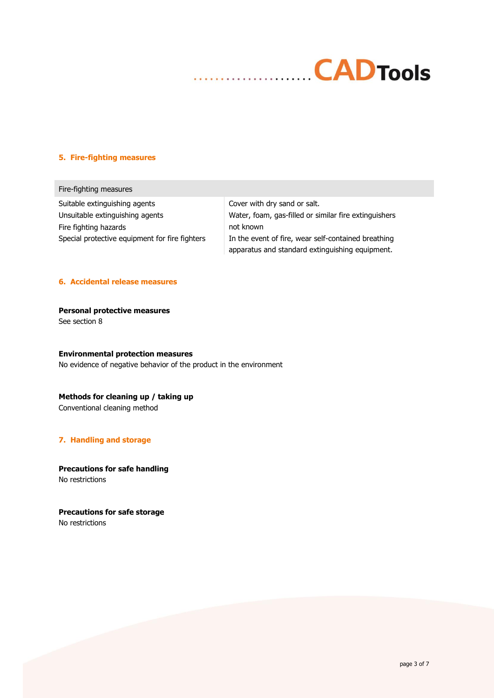

#### **5. Fire-fighting measures**

Fire-fighting measures Suitable extinguishing agents **Cover with dry sand or salt.** Fire fighting hazards not known

Unsuitable extinguishing agents Water, foam, gas-filled or similar fire extinguishers Special protective equipment for fire fighters In the event of fire, wear self-contained breathing apparatus and standard extinguishing equipment.

#### **6. Accidental release measures**

**Personal protective measures** See section 8

#### **Environmental protection measures**

No evidence of negative behavior of the product in the environment

# **Methods for cleaning up / taking up**

Conventional cleaning method

#### **7. Handling and storage**

**Precautions for safe handling** No restrictions

**Precautions for safe storage** No restrictions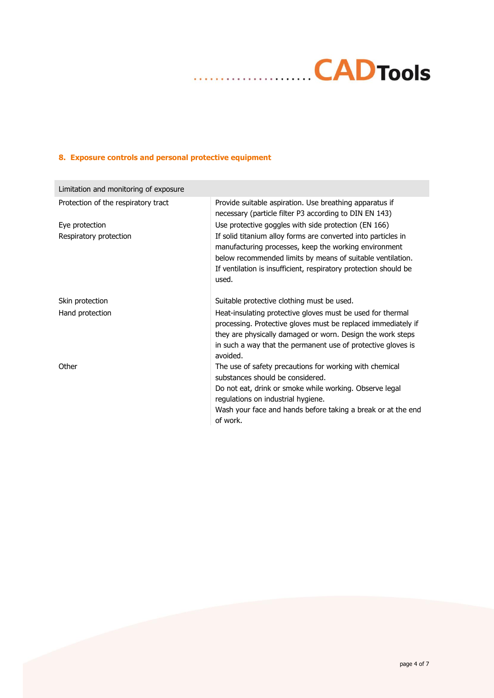# **8. Exposure controls and personal protective equipment**

 $\ddot{\phantom{a}}$ 

| Limitation and monitoring of exposure |                                                                                                                                                                                                                                                                       |
|---------------------------------------|-----------------------------------------------------------------------------------------------------------------------------------------------------------------------------------------------------------------------------------------------------------------------|
| Protection of the respiratory tract   | Provide suitable aspiration. Use breathing apparatus if<br>necessary (particle filter P3 according to DIN EN 143)                                                                                                                                                     |
| Eye protection                        | Use protective goggles with side protection (EN 166)                                                                                                                                                                                                                  |
| Respiratory protection                | If solid titanium alloy forms are converted into particles in<br>manufacturing processes, keep the working environment<br>below recommended limits by means of suitable ventilation.<br>If ventilation is insufficient, respiratory protection should be<br>used.     |
| Skin protection                       | Suitable protective clothing must be used.                                                                                                                                                                                                                            |
| Hand protection                       | Heat-insulating protective gloves must be used for thermal<br>processing. Protective gloves must be replaced immediately if<br>they are physically damaged or worn. Design the work steps<br>in such a way that the permanent use of protective gloves is<br>avoided. |
| Other                                 | The use of safety precautions for working with chemical<br>substances should be considered.                                                                                                                                                                           |
|                                       | Do not eat, drink or smoke while working. Observe legal<br>regulations on industrial hygiene.                                                                                                                                                                         |
|                                       | Wash your face and hands before taking a break or at the end<br>of work.                                                                                                                                                                                              |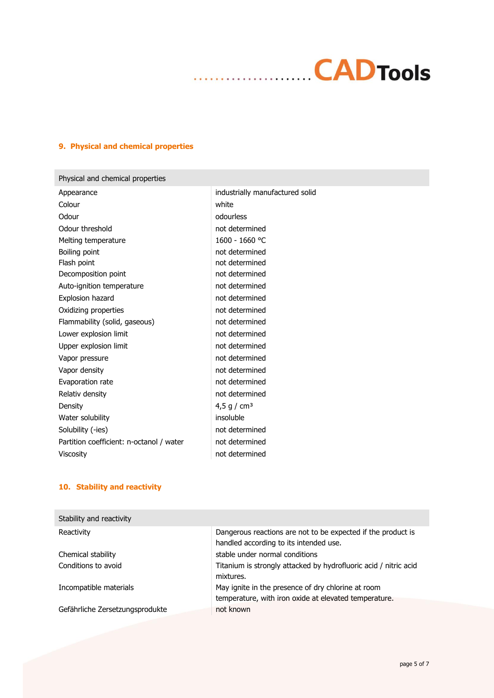# **9. Physical and chemical properties**

| Physical and chemical properties         |                                 |
|------------------------------------------|---------------------------------|
| Appearance                               | industrially manufactured solid |
| Colour                                   | white                           |
| Odour                                    | odourless                       |
| Odour threshold                          | not determined                  |
| Melting temperature                      | 1600 - 1660 °C                  |
| Boiling point                            | not determined                  |
| Flash point                              | not determined                  |
| Decomposition point                      | not determined                  |
| Auto-ignition temperature                | not determined                  |
| Explosion hazard                         | not determined                  |
| Oxidizing properties                     | not determined                  |
| Flammability (solid, gaseous)            | not determined                  |
| Lower explosion limit                    | not determined                  |
| Upper explosion limit                    | not determined                  |
| Vapor pressure                           | not determined                  |
| Vapor density                            | not determined                  |
| Evaporation rate                         | not determined                  |
| Relativ density                          | not determined                  |
| Density                                  | 4,5 g / $cm3$                   |
| Water solubility                         | insoluble                       |
| Solubility (-ies)                        | not determined                  |
| Partition coefficient: n-octanol / water | not determined                  |
| <b>Viscosity</b>                         | not determined                  |
|                                          |                                 |

. . . . . . . .

# **10. Stability and reactivity**

| Stability and reactivity        |                                                                                                             |
|---------------------------------|-------------------------------------------------------------------------------------------------------------|
| Reactivity                      | Dangerous reactions are not to be expected if the product is<br>handled according to its intended use.      |
| Chemical stability              | stable under normal conditions                                                                              |
| Conditions to avoid             | Titanium is strongly attacked by hydrofluoric acid / nitric acid<br>mixtures.                               |
| Incompatible materials          | May ignite in the presence of dry chlorine at room<br>temperature, with iron oxide at elevated temperature. |
| Gefährliche Zersetzungsprodukte | not known                                                                                                   |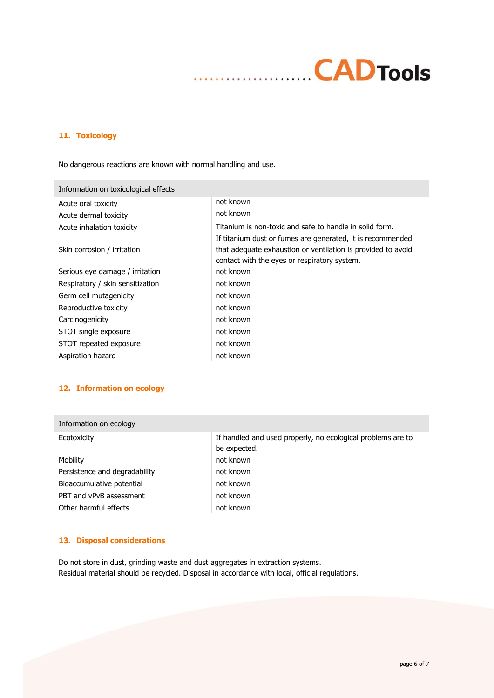# **CADTools** . . . . . . . . . . . . . . . . . .

# **11. Toxicology**

No dangerous reactions are known with normal handling and use.

| Information on toxicological effects |                                                              |
|--------------------------------------|--------------------------------------------------------------|
| Acute oral toxicity                  | not known                                                    |
| Acute dermal toxicity                | not known                                                    |
| Acute inhalation toxicity            | Titanium is non-toxic and safe to handle in solid form.      |
|                                      | If titanium dust or fumes are generated, it is recommended   |
| Skin corrosion / irritation          | that adequate exhaustion or ventilation is provided to avoid |
|                                      | contact with the eyes or respiratory system.                 |
| Serious eye damage / irritation      | not known                                                    |
| Respiratory / skin sensitization     | not known                                                    |
| Germ cell mutagenicity               | not known                                                    |
| Reproductive toxicity                | not known                                                    |
| Carcinogenicity                      | not known                                                    |
| STOT single exposure                 | not known                                                    |
| STOT repeated exposure               | not known                                                    |
| Aspiration hazard                    | not known                                                    |

### **12. Information on ecology**

| If handled and used properly, no ecological problems are to<br>be expected. |
|-----------------------------------------------------------------------------|
| not known                                                                   |
| not known                                                                   |
| not known                                                                   |
| not known                                                                   |
| not known                                                                   |
|                                                                             |

# **13. Disposal considerations**

Do not store in dust, grinding waste and dust aggregates in extraction systems. Residual material should be recycled. Disposal in accordance with local, official regulations.